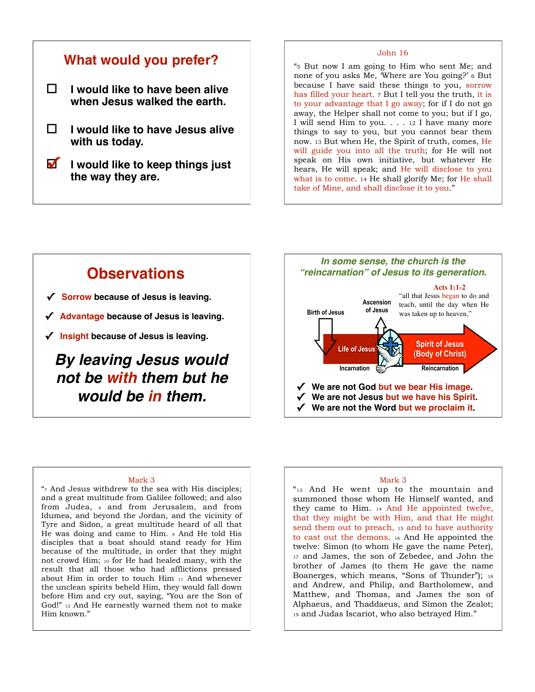## **What would you prefer?**

! **I would like to have been alive when Jesus walked the earth.**

- ! **I would like to have Jesus alive with us today.**
- ! **I would like to keep things just the way they are.**

#### John 16

"5 But now I am going to Him who sent Me; and none of you asks Me, 'Where are You going?' 6 But because I have said these things to you, sorrow has filled your heart. 7 But I tell you the truth, it is to your advantage that I go away; for if I do not go away, the Helper shall not come to you; but if I go, I will send Him to you. . . . 12 I have many more things to say to you, but you cannot bear them now. 13 But when He, the Spirit of truth, comes, He will guide you into all the truth; for He will not speak on His own initiative, but whatever He hears, He will speak; and He will disclose to you what is to come. 14 He shall glorify Me; for He shall take of Mine, and shall disclose it to you."

## **Observations**

- **✓ Sorrow because of Jesus is leaving.**
- **✓ Advantage because of Jesus is leaving.**
- **✓ Insight because of Jesus is leaving.**

## *By leaving Jesus would not be with them but he would be in them.*



#### Mark 3

 $\frac{1}{7}$  And Jesus withdrew to the sea with His disciples; and a great multitude from Galilee followed; and also from Judea, 8 and from Jerusalem, and from Idumea, and beyond the Jordan, and the vicinity of Tyre and Sidon, a great multitude heard of all that He was doing and came to Him. 9 And He told His disciples that a boat should stand ready for Him because of the multitude, in order that they might not crowd Him; 10 for He had healed many, with the result that all those who had afflictions pressed about Him in order to touch Him 11 And whenever the unclean spirits beheld Him, they would fall down before Him and cry out, saying, "You are the Son of God!" 12 And He earnestly warned them not to make Him known."

#### Mark 3

"13 And He went up to the mountain and summoned those whom He Himself wanted, and they came to Him. 14 And He appointed twelve, that they might be with Him, and that He might send them out to preach, 15 and to have authority to cast out the demons. 16 And He appointed the twelve: Simon (to whom He gave the name Peter), 17 and James, the son of Zebedee, and John the brother of James (to them He gave the name Boanerges, which means, "Sons of Thunder"); 18 and Andrew, and Philip, and Bartholomew, and Matthew, and Thomas, and James the son of Alphaeus, and Thaddaeus, and Simon the Zealot; 19 and Judas Iscariot, who also betrayed Him."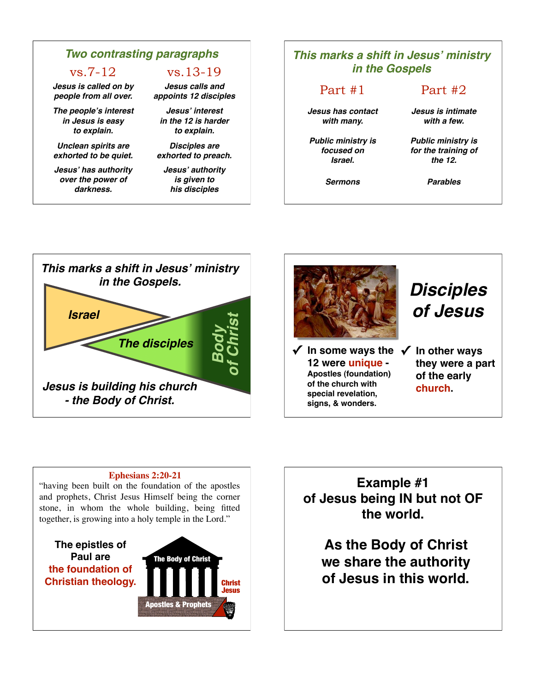### *Two contrasting paragraphs*

vs.7-12 vs.13-19

*Jesus is called on by people from all over.*

*The people***'***s interest in Jesus is easy to explain.*

*Unclean spirits are exhorted to be quiet.*

*Jesus***'** *has authority over the power of darkness.*

*Jesus calls and appoints 12 disciples* 

*Jesus***'** *interest in the 12 is harder to explain.* 

*Disciples are exhorted to preach.*

*Jesus***'** *authority is given to his disciples*

#### *This marks a shift in Jesus***'** *ministry in the Gospels* Part #1 Part #2 *Jesus has contact with many. Jesus is intimate with a few. Public ministry is focused on Israel. Public ministry is for the training of the 12. Sermons Parables*





#### **Ephesians 2:20-21**

"having been built on the foundation of the apostles and prophets, Christ Jesus Himself being the corner stone, in whom the whole building, being fitted together, is growing into a holy temple in the Lord."

**The epistles of Paul are the foundation of Christian theology.**



**Example #1 of Jesus being IN but not OF the world.**

**As the Body of Christ we share the authority of Jesus in this world.**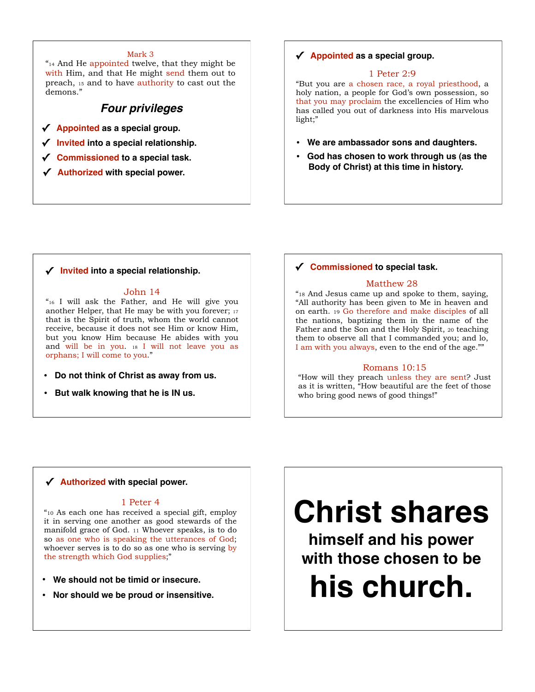#### Mark 3

"14 And He appointed twelve, that they might be with Him, and that He might send them out to preach, 15 and to have authority to cast out the demons."

#### *Four privileges*

- **✓ Appointed as a special group.**
- **✓ Invited into a special relationship.**
- **✓ Commissioned to a special task.**
- **✓ Authorized with special power.**

#### **✓ Appointed as a special group.**

#### 1 Peter 2:9

"But you are a chosen race, a royal priesthood, a holy nation, a people for God's own possession, so that you may proclaim the excellencies of Him who has called you out of darkness into His marvelous light;"

- **We are ambassador sons and daughters.**
- **God has chosen to work through us (as the Body of Christ) at this time in history.**

#### **✓ Invited into a special relationship.**

#### John 14

"16 I will ask the Father, and He will give you another Helper, that He may be with you forever; 17 that is the Spirit of truth, whom the world cannot receive, because it does not see Him or know Him, but you know Him because He abides with you and will be in you. 18 I will not leave you as orphans; I will come to you."

- **Do not think of Christ as away from us.**
- **But walk knowing that he is IN us.**

#### **✓ Commissioned to special task.**

#### Matthew 28

"18 And Jesus came up and spoke to them, saying, "All authority has been given to Me in heaven and on earth. 19 Go therefore and make disciples of all the nations, baptizing them in the name of the Father and the Son and the Holy Spirit, 20 teaching them to observe all that I commanded you; and lo, I am with you always, even to the end of the age.""

#### Romans 10:15

"How will they preach unless they are sent? Just as it is written, "How beautiful are the feet of those who bring good news of good things!"

#### **✓ Authorized with special power.**

#### 1 Peter 4

"10 As each one has received a special gift, employ it in serving one another as good stewards of the manifold grace of God. 11 Whoever speaks, is to do so as one who is speaking the utterances of God; whoever serves is to do so as one who is serving by the strength which God supplies;"

- **We should not be timid or insecure.**
- **Nor should we be proud or insensitive.**

# **Christ shares**

**himself and his power with those chosen to be his church.**